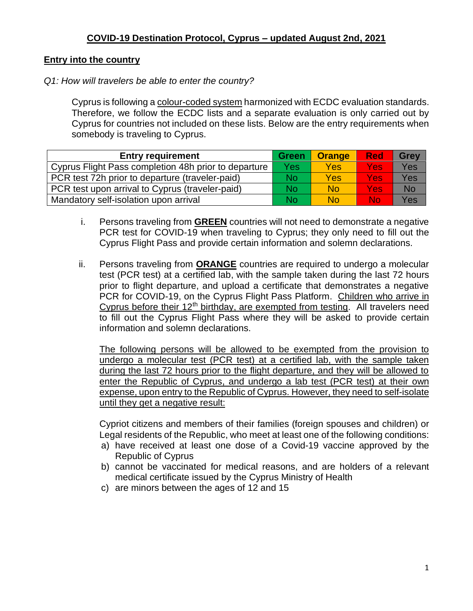# **COVID-19 Destination Protocol, Cyprus – updated August 2nd, 2021**

# **Entry into the country**

# *Q1: How will travelers be able to enter the country?*

Cyprus is following a colour-coded system harmonized with ECDC evaluation standards. Therefore, we follow the ECDC lists and a separate evaluation is only carried out by Cyprus for countries not included on these lists. Below are the entry requirements when somebody is traveling to Cyprus.

| <b>Entry requirement</b>                             | <b>Green</b> | <b>Orange</b> | <b>Red</b> | <b>Grev</b> |
|------------------------------------------------------|--------------|---------------|------------|-------------|
| Cyprus Flight Pass completion 48h prior to departure | Yes          | Yes:          | Yes        | <b>Yes</b>  |
| PCR test 72h prior to departure (traveler-paid)      | No           | Yes           | Yes        | <b>Yes</b>  |
| PCR test upon arrival to Cyprus (traveler-paid)      | No           | No            | Yes        | <b>No</b>   |
| Mandatory self-isolation upon arrival                | No           | No            | No         | Yes         |

- i. Persons traveling from **GREEN** countries will not need to demonstrate a negative PCR test for COVID-19 when traveling to Cyprus; they only need to fill out the Cyprus Flight Pass and provide certain information and solemn declarations.
- ii. Persons traveling from **ORANGE** countries are required to undergo a molecular test (PCR test) at a certified lab, with the sample taken during the last 72 hours prior to flight departure, and upload a certificate that demonstrates a negative PCR for COVID-19, on the Cyprus Flight Pass Platform. Children who arrive in Cyprus before their  $12<sup>th</sup>$  birthday, are exempted from testing. All travelers need to fill out the Cyprus Flight Pass where they will be asked to provide certain information and solemn declarations.

The following persons will be allowed to be exempted from the provision to undergo a molecular test (PCR test) at a certified lab, with the sample taken during the last 72 hours prior to the flight departure, and they will be allowed to enter the Republic of Cyprus, and undergo a lab test (PCR test) at their own expense, upon entry to the Republic of Cyprus. However, they need to self-isolate until they get a negative result:

Cypriot citizens and members of their families (foreign spouses and children) or Legal residents of the Republic, who meet at least one of the following conditions:

- a) have received at least one dose of a Covid-19 vaccine approved by the Republic of Cyprus
- b) cannot be vaccinated for medical reasons, and are holders of a relevant medical certificate issued by the Cyprus Ministry of Health
- c) are minors between the ages of 12 and 15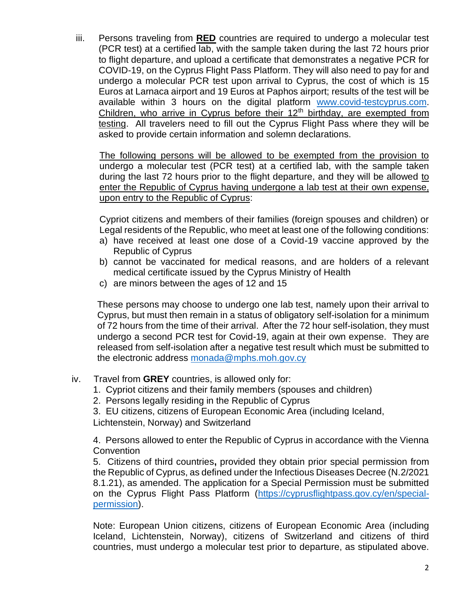iii. Persons traveling from **RED** countries are required to undergo a molecular test (PCR test) at a certified lab, with the sample taken during the last 72 hours prior to flight departure, and upload a certificate that demonstrates a negative PCR for COVID-19, on the Cyprus Flight Pass Platform. They will also need to pay for and undergo a molecular PCR test upon arrival to Cyprus, the cost of which is 15 Euros at Larnaca airport and 19 Euros at Paphos airport; results of the test will be available within 3 hours on the digital platform [www.covid-testcyprus.com.](https://www.covid-testcyprus.com/) Children, who arrive in Cyprus before their  $12<sup>th</sup>$  birthday, are exempted from testing. All travelers need to fill out the Cyprus Flight Pass where they will be asked to provide certain information and solemn declarations.

The following persons will be allowed to be exempted from the provision to undergo a molecular test (PCR test) at a certified lab, with the sample taken during the last 72 hours prior to the flight departure, and they will be allowed to enter the Republic of Cyprus having undergone a lab test at their own expense, upon entry to the Republic of Cyprus:

Cypriot citizens and members of their families (foreign spouses and children) or Legal residents of the Republic, who meet at least one of the following conditions:

- a) have received at least one dose of a Covid-19 vaccine approved by the Republic of Cyprus
- b) cannot be vaccinated for medical reasons, and are holders of a relevant medical certificate issued by the Cyprus Ministry of Health
- c) are minors between the ages of 12 and 15

These persons may choose to undergo one lab test, namely upon their arrival to Cyprus, but must then remain in a status of obligatory self-isolation for a minimum of 72 hours from the time of their arrival. After the 72 hour self-isolation, they must undergo a second PCR test for Covid-19, again at their own expense. They are released from self-isolation after a negative test result which must be submitted to the electronic address [monada@mphs.moh.gov.cy](mailto:monada@mphs.moh.gov.cy)

- iv. Travel from **GREY** countries, is allowed only for:
	- 1. Cypriot citizens and their family members (spouses and children)
	- 2. Persons legally residing in the Republic of Cyprus
	- 3. EU citizens, citizens of European Economic Area (including Iceland,

Lichtenstein, Norway) and Switzerland

4. Persons allowed to enter the Republic of Cyprus in accordance with the Vienna **Convention** 

5. Citizens of third countries**,** provided they obtain prior special permission from the Republic of Cyprus, as defined under the Infectious Diseases Decree (N.2/2021 8.1.21), as amended. The application for a Special Permission must be submitted on the Cyprus Flight Pass Platform [\(https://cyprusflightpass.gov.cy/en/special](https://cyprusflightpass.gov.cy/en/special-permission)[permission\)](https://cyprusflightpass.gov.cy/en/special-permission).

Note: European Union citizens, citizens of European Economic Area (including Iceland, Lichtenstein, Norway), citizens of Switzerland and citizens of third countries, must undergo a molecular test prior to departure, as stipulated above.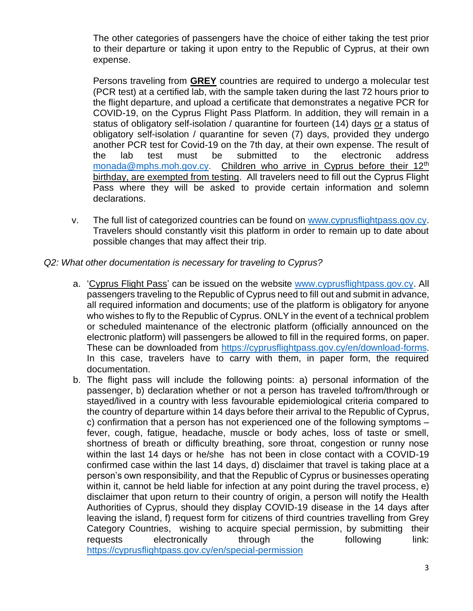The other categories of passengers have the choice of either taking the test prior to their departure or taking it upon entry to the Republic of Cyprus, at their own expense.

Persons traveling from **GREY** countries are required to undergo a molecular test (PCR test) at a certified lab, with the sample taken during the last 72 hours prior to the flight departure, and upload a certificate that demonstrates a negative PCR for COVID-19, on the Cyprus Flight Pass Platform. In addition, they will remain in a status of obligatory self-isolation / quarantine for fourteen (14) days or a status of obligatory self-isolation / quarantine for seven (7) days, provided they undergo another PCR test for Covid-19 on the 7th day, at their own expense. The result of the lab test must be submitted to the electronic address [monada@mphs.moh.gov.cy](mailto:monada@mphs.moh.gov.cy). Children who arrive in Cyprus before their 12<sup>th</sup> birthday, are exempted from testing. All travelers need to fill out the Cyprus Flight Pass where they will be asked to provide certain information and solemn declarations.

- v. The full list of categorized countries can be found on [www.cyprusflightpass.gov.cy.](http://www.cyprusflightpass.gov.cy/) Travelers should constantly visit this platform in order to remain up to date about possible changes that may affect their trip.
- *Q2: What other documentation is necessary for traveling to Cyprus?* 
	- a. 'Cyprus Flight Pass' can be issued on the website [www.cyprusflightpass.gov.cy.](http://www.cyprusflightpass.gov.cy/) All passengers traveling to the Republic of Cyprus need to fill out and submit in advance, all required information and documents; use of the platform is obligatory for anyone who wishes to fly to the Republic of Cyprus. ONLY in the event of a technical problem or scheduled maintenance of the electronic platform (officially announced on the electronic platform) will passengers be allowed to fill in the required forms, on paper. These can be downloaded from [https://cyprusflightpass.gov.cy/en/download-forms.](https://cyprusflightpass.gov.cy/en/download-forms) In this case, travelers have to carry with them, in paper form, the required documentation.
	- b. The flight pass will include the following points: a) personal information of the passenger, b) declaration whether or not a person has traveled to/from/through or stayed/lived in a country with less favourable epidemiological criteria compared to the country of departure within 14 days before their arrival to the Republic of Cyprus, c) confirmation that a person has not experienced one of the following symptoms – fever, cough, fatigue, headache, muscle or body aches, loss of taste or smell, shortness of breath or difficulty breathing, sore throat, congestion or runny nose within the last 14 days or he/she has not been in close contact with a COVID-19 confirmed case within the last 14 days, d) disclaimer that travel is taking place at a person's own responsibility, and that the Republic of Cyprus or businesses operating within it, cannot be held liable for infection at any point during the travel process, e) disclaimer that upon return to their country of origin, a person will notify the Health Authorities of Cyprus, should they display COVID-19 disease in the 14 days after leaving the island, f) request form for citizens of third countries travelling from Grey Category Countries, wishing to acquire special permission, by submitting their requests electronically through the following link: <https://cyprusflightpass.gov.cy/en/special-permission>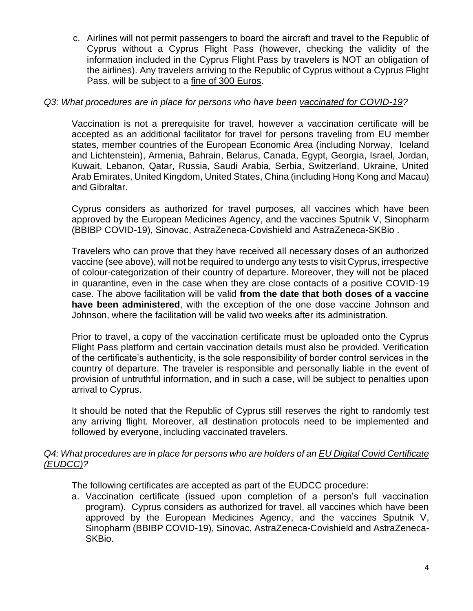c. Airlines will not permit passengers to board the aircraft and travel to the Republic of Cyprus without a Cyprus Flight Pass (however, checking the validity of the information included in the Cyprus Flight Pass by travelers is NOT an obligation of the airlines). Any travelers arriving to the Republic of Cyprus without a Cyprus Flight Pass, will be subject to a fine of 300 Euros.

# *Q3: What procedures are in place for persons who have been vaccinated for COVID-19?*

Vaccination is not a prerequisite for travel, however a vaccination certificate will be accepted as an additional facilitator for travel for persons traveling from ΕU member states, member countries of the European Economic Area (including Norway, Iceland and Lichtenstein), Armenia, Bahrain, Belarus, Canada, Egypt, Georgia, Israel, Jordan, Kuwait, Lebanon, Qatar, Russia, Saudi Arabia, Serbia, Switzerland, Ukraine, United Arab Emirates, United Kingdom, United States, China (including Hong Kong and Macau) and Gibraltar.

Cyprus considers as authorized for travel purposes, all vaccines which have been approved by the European Medicines Agency, and the vaccines Sputnik V, Sinopharm (BBIBP COVID-19), Sinovac, AstraZeneca-Covishield and AstraZeneca-SKBio .

Travelers who can prove that they have received all necessary doses of an authorized vaccine (see above), will not be required to undergo any tests to visit Cyprus, irrespective of colour-categorization of their country of departure. Moreover, they will not be placed in quarantine, even in the case when they are close contacts of a positive COVID-19 case. The above facilitation will be valid **from the date that both doses of a vaccine have been administered**, with the exception of the one dose vaccine Johnson and Johnson, where the facilitation will be valid two weeks after its administration.

Prior to travel, a copy of the vaccination certificate must be uploaded onto the Cyprus Flight Pass platform and certain vaccination details must also be provided. Verification of the certificate's authenticity, is the sole responsibility of border control services in the country of departure. The traveler is responsible and personally liable in the event of provision of untruthful information, and in such a case, will be subject to penalties upon arrival to Cyprus.

It should be noted that the Republic of Cyprus still reserves the right to randomly test any arriving flight. Moreover, all destination protocols need to be implemented and followed by everyone, including vaccinated travelers.

# *Q4: What procedures are in place for persons who are holders of an EU Digital Covid Certificate (EUDCC)?*

The following certificates are accepted as part of the EUDCC procedure:

a. Vaccination certificate (issued upon completion of a person's full vaccination program). Cyprus considers as authorized for travel, all vaccines which have been approved by the European Medicines Agency, and the vaccines Sputnik V, Sinopharm (BBIBP COVID-19), Sinovac, AstraZeneca-Covishield and AstraZeneca-SKBio.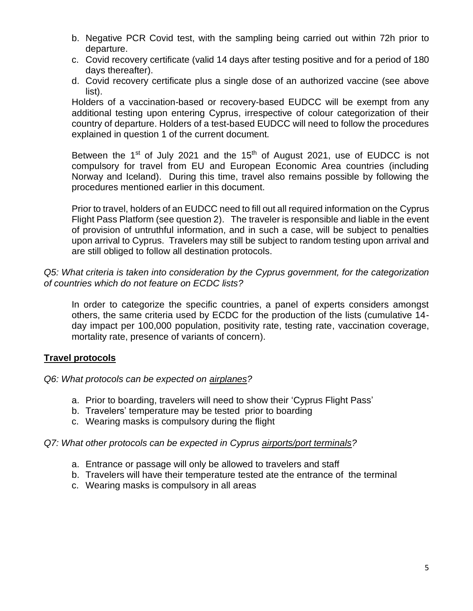- b. Negative PCR Covid test, with the sampling being carried out within 72h prior to departure.
- c. Covid recovery certificate (valid 14 days after testing positive and for a period of 180 days thereafter).
- d. Covid recovery certificate plus a single dose of an authorized vaccine (see above list).

Holders of a vaccination-based or recovery-based EUDCC will be exempt from any additional testing upon entering Cyprus, irrespective of colour categorization of their country of departure. Holders of a test-based EUDCC will need to follow the procedures explained in question 1 of the current document.

Between the  $1<sup>st</sup>$  of July 2021 and the  $15<sup>th</sup>$  of August 2021, use of EUDCC is not compulsory for travel from EU and European Economic Area countries (including Norway and Iceland). During this time, travel also remains possible by following the procedures mentioned earlier in this document.

Prior to travel, holders of an EUDCC need to fill out all required information on the Cyprus Flight Pass Platform (see question 2). The traveler is responsible and liable in the event of provision of untruthful information, and in such a case, will be subject to penalties upon arrival to Cyprus. Travelers may still be subject to random testing upon arrival and are still obliged to follow all destination protocols.

# *Q5: What criteria is taken into consideration by the Cyprus government, for the categorization of countries which do not feature on ECDC lists?*

In order to categorize the specific countries, a panel of experts considers amongst others, the same criteria used by ECDC for the production of the lists (cumulative 14 day impact per 100,000 population, positivity rate, testing rate, vaccination coverage, mortality rate, presence of variants of concern).

# **Travel protocols**

# *Q6: What protocols can be expected on airplanes?*

- a. Prior to boarding, travelers will need to show their 'Cyprus Flight Pass'
- b. Travelers' temperature may be tested prior to boarding
- c. Wearing masks is compulsory during the flight

# *Q7: What other protocols can be expected in Cyprus airports/port terminals?*

- a. Entrance or passage will only be allowed to travelers and staff
- b. Travelers will have their temperature tested ate the entrance of the terminal
- c. Wearing masks is compulsory in all areas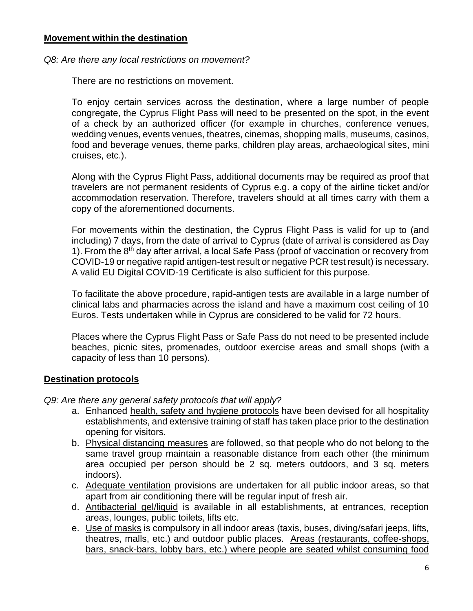#### **Movement within the destination**

*Q8: Are there any local restrictions on movement?*

There are no restrictions on movement.

To enjoy certain services across the destination, where a large number of people congregate, the Cyprus Flight Pass will need to be presented on the spot, in the event of a check by an authorized officer (for example in churches, conference venues, wedding venues, events venues, theatres, cinemas, shopping malls, museums, casinos, food and beverage venues, theme parks, children play areas, archaeological sites, mini cruises, etc.).

Along with the Cyprus Flight Pass, additional documents may be required as proof that travelers are not permanent residents of Cyprus e.g. a copy of the airline ticket and/or accommodation reservation. Therefore, travelers should at all times carry with them a copy of the aforementioned documents.

For movements within the destination, the Cyprus Flight Pass is valid for up to (and including) 7 days, from the date of arrival to Cyprus (date of arrival is considered as Day 1). From the 8<sup>th</sup> day after arrival, a local Safe Pass (proof of vaccination or recovery from COVID-19 or negative rapid antigen-test result or negative PCR test result) is necessary. A valid EU Digital COVID-19 Certificate is also sufficient for this purpose.

To facilitate the above procedure, rapid-antigen tests are available in a large number of clinical labs and pharmacies across the island and have a maximum cost ceiling of 10 Euros. Tests undertaken while in Cyprus are considered to be valid for 72 hours.

Places where the Cyprus Flight Pass or Safe Pass do not need to be presented include beaches, picnic sites, promenades, outdoor exercise areas and small shops (with a capacity of less than 10 persons).

# **Destination protocols**

*Q9: Are there any general safety protocols that will apply?*

- a. Enhanced health, safety and hygiene protocols have been devised for all hospitality establishments, and extensive training of staff has taken place prior to the destination opening for visitors.
- b. Physical distancing measures are followed, so that people who do not belong to the same travel group maintain a reasonable distance from each other (the minimum area occupied per person should be 2 sq. meters outdoors, and 3 sq. meters indoors).
- c. Adequate ventilation provisions are undertaken for all public indoor areas, so that apart from air conditioning there will be regular input of fresh air.
- d. Antibacterial gel/liquid is available in all establishments, at entrances, reception areas, lounges, public toilets, lifts etc.
- e. Use of masks is compulsory in all indoor areas (taxis, buses, diving/safari jeeps, lifts, theatres, malls, etc.) and outdoor public places. Areas (restaurants, coffee-shops, bars, snack-bars, lobby bars, etc.) where people are seated whilst consuming food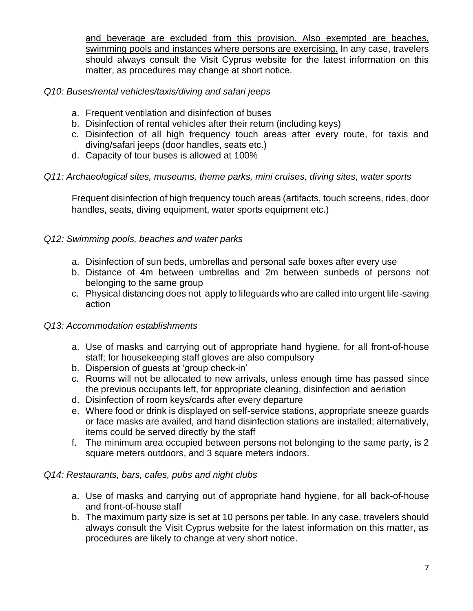and beverage are excluded from this provision. Also exempted are beaches, swimming pools and instances where persons are exercising. In any case, travelers should always consult the Visit Cyprus website for the latest information on this matter, as procedures may change at short notice.

# *Q10: Buses/rental vehicles/taxis/diving and safari jeeps*

- a. Frequent ventilation and disinfection of buses
- b. Disinfection of rental vehicles after their return (including keys)
- c. Disinfection of all high frequency touch areas after every route, for taxis and diving/safari jeeps (door handles, seats etc.)
- d. Capacity of tour buses is allowed at 100%

# *Q11: Archaeological sites, museums, theme parks, mini cruises, diving sites, water sports*

Frequent disinfection of high frequency touch areas (artifacts, touch screens, rides, door handles, seats, diving equipment, water sports equipment etc.)

# *Q12: Swimming pools, beaches and water parks*

- a. Disinfection of sun beds, umbrellas and personal safe boxes after every use
- b. Distance of 4m between umbrellas and 2m between sunbeds of persons not belonging to the same group
- c. Physical distancing does not apply to lifeguards who are called into urgent life-saving action

# *Q13: Accommodation establishments*

- a. Use of masks and carrying out of appropriate hand hygiene, for all front-of-house staff; for housekeeping staff gloves are also compulsory
- b. Dispersion of guests at 'group check-in'
- c. Rooms will not be allocated to new arrivals, unless enough time has passed since the previous occupants left, for appropriate cleaning, disinfection and aeriation
- d. Disinfection of room keys/cards after every departure
- e. Where food or drink is displayed on self-service stations, appropriate sneeze guards or face masks are availed, and hand disinfection stations are installed; alternatively, items could be served directly by the staff
- f. The minimum area occupied between persons not belonging to the same party, is 2 square meters outdoors, and 3 square meters indoors.

# *Q14: Restaurants, bars, cafes, pubs and night clubs*

- a. Use of masks and carrying out of appropriate hand hygiene, for all back-of-house and front-of-house staff
- b. The maximum party size is set at 10 persons per table. In any case, travelers should always consult the Visit Cyprus website for the latest information on this matter, as procedures are likely to change at very short notice.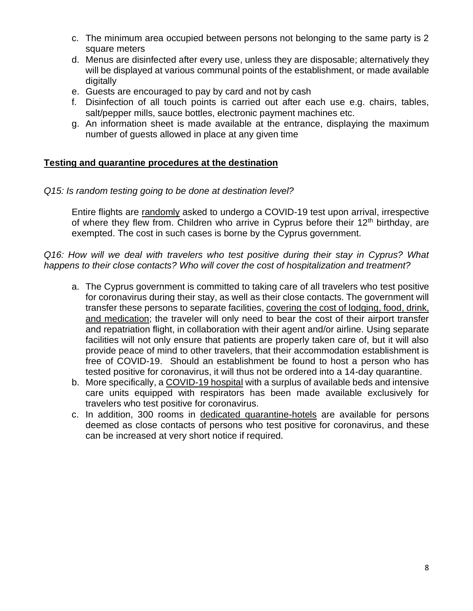- c. The minimum area occupied between persons not belonging to the same party is 2 square meters
- d. Menus are disinfected after every use, unless they are disposable; alternatively they will be displayed at various communal points of the establishment, or made available digitally
- e. Guests are encouraged to pay by card and not by cash
- f. Disinfection of all touch points is carried out after each use e.g. chairs, tables, salt/pepper mills, sauce bottles, electronic payment machines etc.
- g. An information sheet is made available at the entrance, displaying the maximum number of guests allowed in place at any given time

# **Testing and quarantine procedures at the destination**

# *Q15: Is random testing going to be done at destination level?*

Entire flights are randomly asked to undergo a COVID-19 test upon arrival, irrespective of where they flew from. Children who arrive in Cyprus before their 12<sup>th</sup> birthday, are exempted. The cost in such cases is borne by the Cyprus government.

# *Q16: How will we deal with travelers who test positive during their stay in Cyprus? What happens to their close contacts? Who will cover the cost of hospitalization and treatment?*

- a. The Cyprus government is committed to taking care of all travelers who test positive for coronavirus during their stay, as well as their close contacts. The government will transfer these persons to separate facilities, covering the cost of lodging, food, drink, and medication; the traveler will only need to bear the cost of their airport transfer and repatriation flight, in collaboration with their agent and/or airline. Using separate facilities will not only ensure that patients are properly taken care of, but it will also provide peace of mind to other travelers, that their accommodation establishment is free of COVID-19. Should an establishment be found to host a person who has tested positive for coronavirus, it will thus not be ordered into a 14-day quarantine.
- b. More specifically, a COVID-19 hospital with a surplus of available beds and intensive care units equipped with respirators has been made available exclusively for travelers who test positive for coronavirus.
- c. In addition, 300 rooms in dedicated quarantine-hotels are available for persons deemed as close contacts of persons who test positive for coronavirus, and these can be increased at very short notice if required.